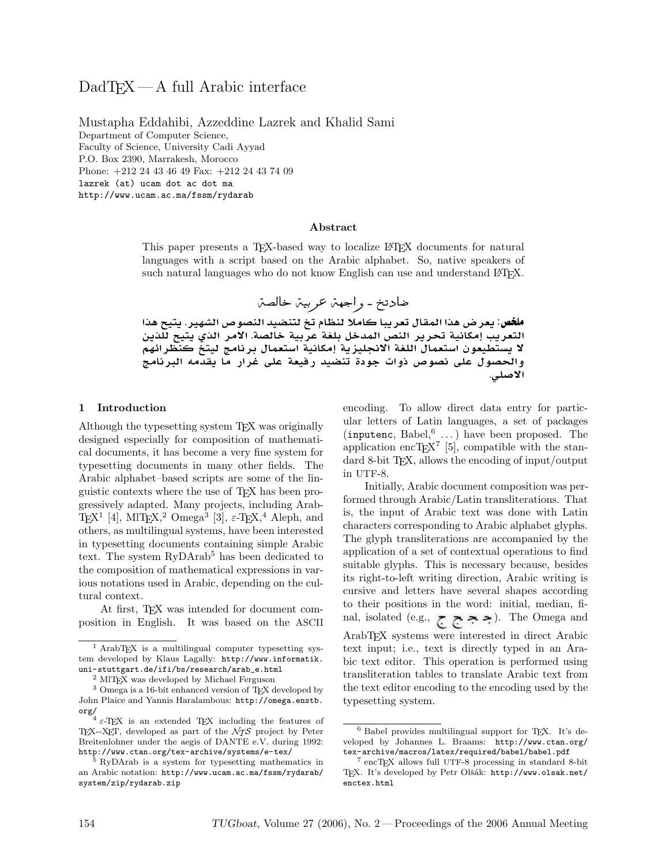# $DadT$ FX — A full Arabic interface

Mustapha Eddahibi, Azzeddine Lazrek and Khalid Sami Department of Computer Science, Faculty of Science, University Cadi Ayyad P.O. Box 2390, Marrakesh, Morocco Phone: +212 24 43 46 49 Fax: +212 24 43 74 09 lazrek (at) ucam dot ac dot ma http://www.ucam.ac.ma/fssm/rydarab

### Abstract

This paper presents a TEX-based way to localize LATEX documents for natural languages with a script based on the Arabic alphabet. So, native speakers of such natural languages who do not know English can use and understand LATEX.

ضادتخ ـ واجهن عربين خالصن **ملغص**: يعر ض هذا المقال تعر يبا كاملا لنظام تخ لتنضيد النصوص الشهير. يتيح هذا التعريب إمكانية تحرير النص المدخل بلغة عربية خالصة. الامر الذي يتيح للذين المستطيعون استعمال اللغة الانجليزية إمكانية استعمال برنامج ليتخ كنظرائهم والحصول عل*ى* نصوص ذوات جودة تنضيد رفيعة على غرار ما يقدمه البرنامج الأصلي.

#### 1 Introduction

Although the typesetting system T<sub>EX</sub> was originally designed especially for composition of mathematical documents, it has become a very fine system for typesetting documents in many other fields. The Arabic alphabet–based scripts are some of the linguistic contexts where the use of TEX has been progressively adapted. Many projects, including Arab-TEX<sup>[1](#page-0-0)</sup> [\[4\]](#page-4-0), MITEX,<sup>[2](#page-0-1)</sup> Omega<sup>[3](#page-0-2)</sup> [\[3\]](#page-4-1),  $\varepsilon$ -TEX,<sup>[4](#page-0-3)</sup> Aleph, and others, as multilingual systems, have been interested in typesetting documents containing simple Arabic text. The system RyDArab<sup>[5](#page-0-4)</sup> has been dedicated to the composition of mathematical expressions in various notations used in Arabic, depending on the cultural context.

At first, TEX was intended for document composition in English. It was based on the ASCII encoding. To allow direct data entry for particular letters of Latin languages, a set of packages (inputenc, Babel,  $(6 \ldots)$  $(6 \ldots)$  $(6 \ldots)$  have been proposed. The application encT<sub>E</sub> $X^7$  $X^7$  [\[5\]](#page-4-2), compatible with the standard 8-bit TFX, allows the encoding of input/output in UTF-8.

Initially, Arabic document composition was performed through Arabic/Latin transliterations. That is, the input of Arabic text was done with Latin characters corresponding to Arabic alphabet glyphs. The glyph transliterations are accompanied by the application of a set of contextual operations to find suitable glyphs. This is necessary because, besides its right-to-left writing direction, Arabic writing is cursive and letters have several shapes according to their positions in the word: initial, median, final, isolated (e.g., ججم ج $\sum$ ). The Omega and ArabTEX systems were interested in direct Arabic text input; i.e., text is directly typed in an Arabic text editor. This operation is performed using transliteration tables to translate Arabic text from the text editor encoding to the encoding used by the typesetting system.

<span id="page-0-0"></span><sup>1</sup> ArabTEX is a multilingual computer typesetting system developed by Klaus Lagally: [http://www.informatik.](http://www.informatik.uni-stuttgart.de/ifi/bs/research/arab_e.html) [uni-stuttgart.de/ifi/bs/research/arab\\_e.html](http://www.informatik.uni-stuttgart.de/ifi/bs/research/arab_e.html)

<span id="page-0-2"></span><span id="page-0-1"></span> $^2$  MlT $\rm \widetilde{E}X$  was developed by Michael Ferguson

<sup>3</sup> Omega is a 16-bit enhanced version of TEX developed by John Plaice and Yannis Haralambous: [http://omega.enstb.](http://omega.enstb.org/)

<span id="page-0-3"></span>[org/](http://omega.enstb.org/)<br> $4 \varepsilon$ -T<sub>E</sub>X is an extended T<sub>E</sub>X including the features of TEX--XET, developed as part of the  $\mathcal{N}$ TS project by Peter Breitenlohner under the aegis of DANTE e.V. during 1992: <http://www.ctan.org/tex-archive/systems/e-tex/>

<span id="page-0-4"></span><sup>5</sup> RyDArab is a system for typesetting mathematics in an Arabic notation: [http://www.ucam.ac.ma/fssm/rydarab/](http://www.ucam.ac.ma/fssm/rydarab/system/zip/rydarab.zip) [system/zip/rydarab.zip](http://www.ucam.ac.ma/fssm/rydarab/system/zip/rydarab.zip)

<span id="page-0-5"></span><sup>6</sup> Babel provides multilingual support for TEX. It's developed by Johannes L. Braams: [http://www.ctan.org/](http://www.ctan.org/tex-archive/macros/latex/required/babel/babel.pdf) [tex-archive/macros/latex/required/babel/babel.pdf](http://www.ctan.org/tex-archive/macros/latex/required/babel/babel.pdf)

<span id="page-0-6"></span> $^7$  encTEX allows full UTF-8 processing in standard 8-bit TFX. It's developed by Petr Olšák: [http://www.olsak.net/](http://www.olsak.net/enctex.html) [enctex.html](http://www.olsak.net/enctex.html)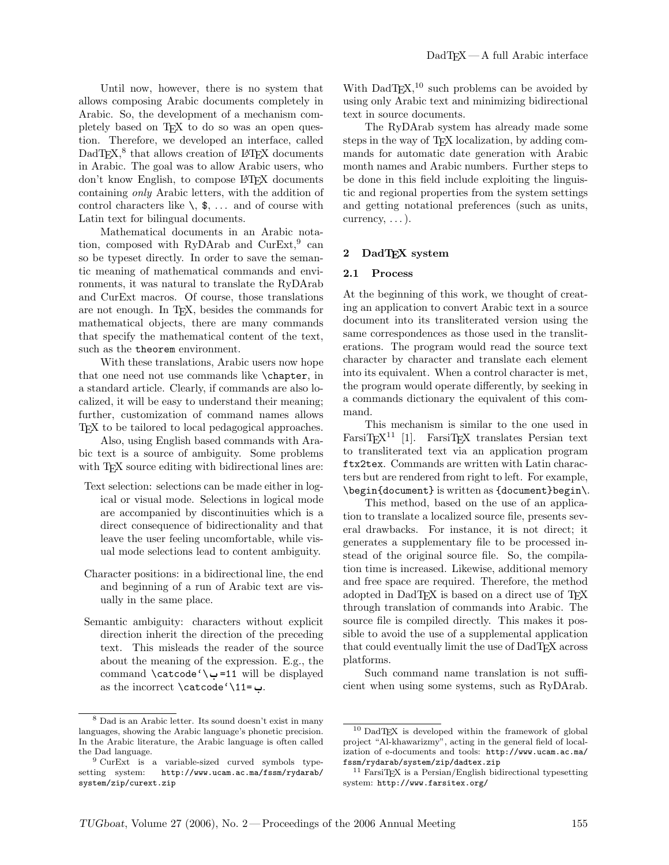Until now, however, there is no system that allows composing Arabic documents completely in Arabic. So, the development of a mechanism completely based on TEX to do so was an open question. Therefore, we developed an interface, called DadT<sub>E</sub>X,<sup>[8](#page-1-0)</sup> that allows creation of L<sup>AT</sup>EX documents in Arabic. The goal was to allow Arabic users, who don't know English, to compose LATEX documents containing only Arabic letters, with the addition of control characters like  $\setminus$ ,  $\$ , ... and of course with Latin text for bilingual documents.

Mathematical documents in an Arabic nota-tion, composed with RyDArab and CurExt,<sup>[9](#page-1-1)</sup> can so be typeset directly. In order to save the semantic meaning of mathematical commands and environments, it was natural to translate the RyDArab and CurExt macros. Of course, those translations are not enough. In TEX, besides the commands for mathematical objects, there are many commands that specify the mathematical content of the text, such as the theorem environment.

With these translations, Arabic users now hope that one need not use commands like \chapter, in a standard article. Clearly, if commands are also localized, it will be easy to understand their meaning; further, customization of command names allows T<sub>EX</sub> to be tailored to local pedagogical approaches.

Also, using English based commands with Arabic text is a source of ambiguity. Some problems with T<sub>E</sub>X source editing with bidirectional lines are:

- Text selection: selections can be made either in logical or visual mode. Selections in logical mode are accompanied by discontinuities which is a direct consequence of bidirectionality and that leave the user feeling uncomfortable, while visual mode selections lead to content ambiguity.
- Character positions: in a bidirectional line, the end and beginning of a run of Arabic text are visually in the same place.
- Semantic ambiguity: characters without explicit direction inherit the direction of the preceding text. This misleads the reader of the source about the meaning of the expression. E.g., the command \catcode'\=11 will be displayed as the incorrect \catcode'\11=.

With  $\text{DadT} \not\!\!{F} \mathbf{X}$ ,  $^{10}$  $^{10}$  $^{10}$  such problems can be avoided by using only Arabic text and minimizing bidirectional text in source documents.

The RyDArab system has already made some steps in the way of TEX localization, by adding commands for automatic date generation with Arabic month names and Arabic numbers. Further steps to be done in this field include exploiting the linguistic and regional properties from the system settings and getting notational preferences (such as units, currency,  $\dots$ ).

# 2 DadT<sub>EX</sub> system

#### 2.1 Process

At the beginning of this work, we thought of creating an application to convert Arabic text in a source document into its transliterated version using the same correspondences as those used in the transliterations. The program would read the source text character by character and translate each element into its equivalent. When a control character is met, the program would operate differently, by seeking in a commands dictionary the equivalent of this command.

This mechanism is similar to the one used in FarsiT<sub>E</sub>X<sup>[11](#page-1-3)</sup> [\[1\]](#page-4-3). FarsiT<sub>E</sub>X translates Persian text to transliterated text via an application program ftx2tex. Commands are written with Latin characters but are rendered from right to left. For example, \begin{document} is written as {document}begin\.

This method, based on the use of an application to translate a localized source file, presents several drawbacks. For instance, it is not direct; it generates a supplementary file to be processed instead of the original source file. So, the compilation time is increased. Likewise, additional memory and free space are required. Therefore, the method adopted in DadTEX is based on a direct use of TEX through translation of commands into Arabic. The source file is compiled directly. This makes it possible to avoid the use of a supplemental application that could eventually limit the use of DadT<sub>F</sub>X across platforms.

Such command name translation is not sufficient when using some systems, such as RyDArab.

<span id="page-1-0"></span><sup>8</sup> Dad is an Arabic letter. Its sound doesn't exist in many languages, showing the Arabic language's phonetic precision. In the Arabic literature, the Arabic language is often called the Dad language.

<span id="page-1-1"></span><sup>9</sup> CurExt is a variable-sized curved symbols typesetting system: [http://www.ucam.ac.ma/fssm/rydarab/](http://www.ucam.ac.ma/fssm/rydarab/system/zip/curext.zip) [system/zip/curext.zip](http://www.ucam.ac.ma/fssm/rydarab/system/zip/curext.zip)

<span id="page-1-2"></span><sup>10</sup> DadTEX is developed within the framework of global project "Al-khawarizmy", acting in the general field of localization of e-documents and tools: [http://www.ucam.ac.ma/](http://www.ucam.ac.ma/fssm/rydarab/system/zip/dadtex.zip) [fssm/rydarab/system/zip/dadtex.zip](http://www.ucam.ac.ma/fssm/rydarab/system/zip/dadtex.zip)

<span id="page-1-3"></span><sup>11</sup> FarsiTEX is a Persian/English bidirectional typesetting system: <http://www.farsitex.org/>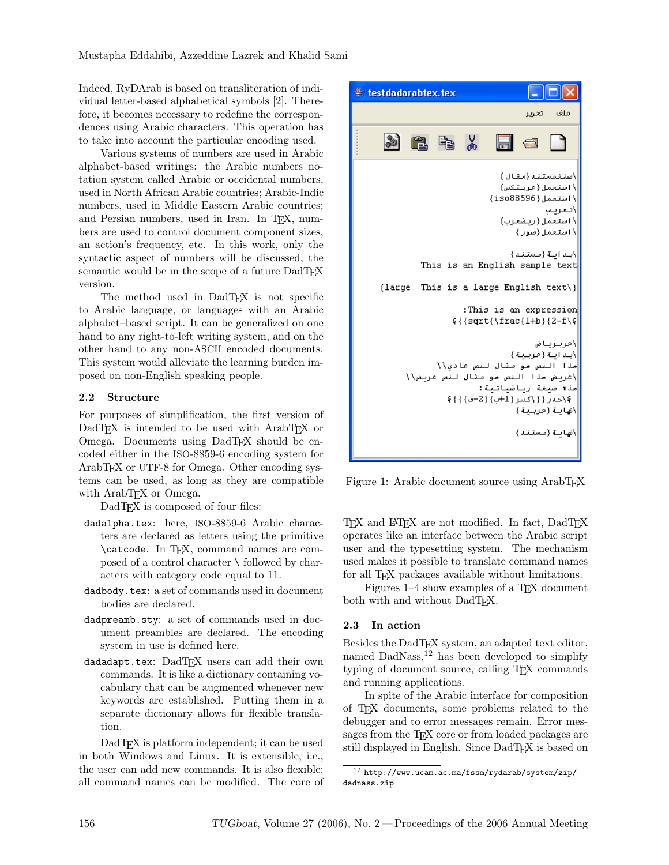Indeed, RyDArab is based on transliteration of individual letter-based alphabetical symbols [\[2\]](#page-4-4). Therefore, it becomes necessary to redefine the correspondences using Arabic characters. This operation has to take into account the particular encoding used.

Various systems of numbers are used in Arabic alphabet-based writings: the Arabic numbers notation system called Arabic or occidental numbers, used in North African Arabic countries; Arabic-Indic numbers, used in Middle Eastern Arabic countries; and Persian numbers, used in Iran. In TEX, numbers are used to control document component sizes, an action's frequency, etc. In this work, only the syntactic aspect of numbers will be discussed, the semantic would be in the scope of a future DadTEX version.

The method used in DadT<sub>F</sub>X is not specific to Arabic language, or languages with an Arabic alphabet–based script. It can be generalized on one hand to any right-to-left writing system, and on the other hand to any non-ASCII encoded documents. This system would alleviate the learning burden imposed on non-English speaking people.

# 2.2 Structure

For purposes of simplification, the first version of DadT<sub>EX</sub> is intended to be used with ArabT<sub>EX</sub> or Omega. Documents using DadT<sub>F</sub>X should be encoded either in the ISO-8859-6 encoding system for ArabT<sub>EX</sub> or UTF-8 for Omega. Other encoding systems can be used, as long as they are compatible with ArabT<sub>EX</sub> or Omega.

DadT<sub>F</sub>X is composed of four files:

- dadalpha.tex: here, ISO-8859-6 Arabic characters are declared as letters using the primitive \catcode. In TEX, command names are composed of a control character \ followed by characters with category code equal to 11.
- dadbody.tex: a set of commands used in document bodies are declared.
- dadpreamb.sty: a set of commands used in document preambles are declared. The encoding system in use is defined here.
- dadadapt.tex: DadTEX users can add their own commands. It is like a dictionary containing vocabulary that can be augmented whenever new keywords are established. Putting them in a separate dictionary allows for flexible translation.

DadTEX is platform independent; it can be used in both Windows and Linux. It is extensible, i.e., the user can add new commands. It is also flexible; all command names can be modified. The core of



Figure 1: Arabic document source using ArabTEX

TEX and LATEX are not modified. In fact, DadTEX operates like an interface between the Arabic script user and the typesetting system. The mechanism used makes it possible to translate command names for all T<sub>E</sub>X packages available without limitations.

Figures 1–4 show examples of a T<sub>F</sub>X document both with and without DadTEX.

#### 2.3 In action

Besides the DadTEX system, an adapted text editor, named DadNass, $^{12}$  $^{12}$  $^{12}$  has been developed to simplify typing of document source, calling TEX commands and running applications.

In spite of the Arabic interface for composition of TEX documents, some problems related to the debugger and to error messages remain. Error messages from the T<sub>F</sub>X core or from loaded packages are still displayed in English. Since DadTEX is based on

<span id="page-2-0"></span> $12$  [http://www.ucam.ac.ma/fssm/rydarab/system/zip/](http://www.ucam.ac.ma/fssm/rydarab/system/zip/dadnass.zip) [dadnass.zip](http://www.ucam.ac.ma/fssm/rydarab/system/zip/dadnass.zip)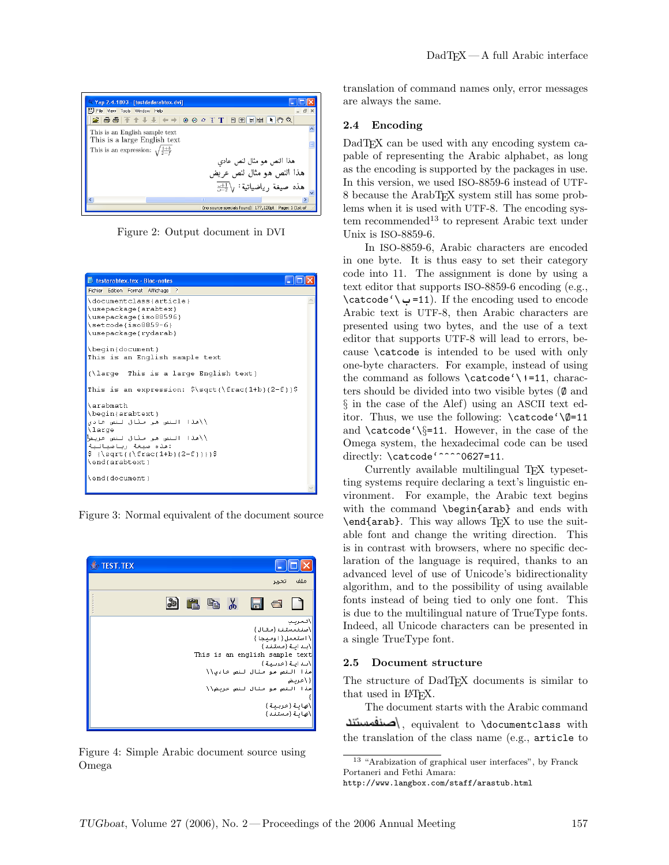

Figure 2: Output document in DVI



Figure 3: Normal equivalent of the document source



Figure 4: Simple Arabic document source using Omega

translation of command names only, error messages are always the same.

# 2.4 Encoding

DadT<sub>F</sub>X can be used with any encoding system capable of representing the Arabic alphabet, as long as the encoding is supported by the packages in use. In this version, we used ISO-8859-6 instead of UTF-8 because the ArabT<sub>EX</sub> system still has some problems when it is used with UTF-8. The encoding sys-tem recommended<sup>[13](#page-3-0)</sup> to represent Arabic text under Unix is ISO-8859-6.

In ISO-8859-6, Arabic characters are encoded in one byte. It is thus easy to set their category code into 11. The assignment is done by using a text editor that supports ISO-8859-6 encoding (e.g., \catcode'\=11). If the encoding used to encode Arabic text is UTF-8, then Arabic characters are presented using two bytes, and the use of a text editor that supports UTF-8 will lead to errors, because \catcode is intended to be used with only one-byte characters. For example, instead of using the command as follows  $\text{catace}^{\iota}$  =11, characters should be divided into two visible bytes (Ø and § in the case of the Alef) using an ASCII text editor. Thus, we use the following: \catcode'\Ø=11 and  $\text{catcode'}\$ =11. However, in the case of the Omega system, the hexadecimal code can be used directly: \catcode'^^^^0627=11.

Currently available multilingual TEX typesetting systems require declaring a text's linguistic environment. For example, the Arabic text begins with the command \begin{arab} and ends with \end{arab}. This way allows TFX to use the suitable font and change the writing direction. This is in contrast with browsers, where no specific declaration of the language is required, thanks to an advanced level of use of Unicode's bidirectionality algorithm, and to the possibility of using available fonts instead of being tied to only one font. This is due to the multilingual nature of TrueType fonts. Indeed, all Unicode characters can be presented in a single TrueType font.

# 2.5 Document structure

The structure of DadT<sub>F</sub>X documents is similar to that used in LATEX.

The document starts with the Arabic command , equivalent to \documentclass with the translation of the class name (e.g., article to

<span id="page-3-0"></span><sup>13</sup> "Arabization of graphical user interfaces", by Franck Portaneri and Fethi Amara:

<http://www.langbox.com/staff/arastub.html>